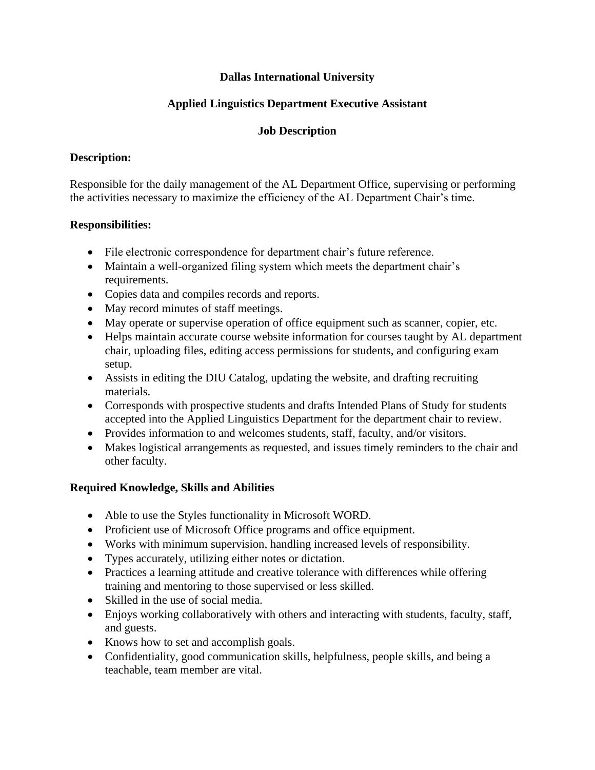## **Dallas International University**

# **Applied Linguistics Department Executive Assistant**

### **Job Description**

#### **Description:**

Responsible for the daily management of the AL Department Office, supervising or performing the activities necessary to maximize the efficiency of the AL Department Chair's time.

## **Responsibilities:**

- File electronic correspondence for department chair's future reference.
- Maintain a well-organized filing system which meets the department chair's requirements.
- Copies data and compiles records and reports.
- May record minutes of staff meetings.
- May operate or supervise operation of office equipment such as scanner, copier, etc.
- Helps maintain accurate course website information for courses taught by AL department chair, uploading files, editing access permissions for students, and configuring exam setup.
- Assists in editing the DIU Catalog, updating the website, and drafting recruiting materials.
- Corresponds with prospective students and drafts Intended Plans of Study for students accepted into the Applied Linguistics Department for the department chair to review.
- Provides information to and welcomes students, staff, faculty, and/or visitors.
- Makes logistical arrangements as requested, and issues timely reminders to the chair and other faculty.

# **Required Knowledge, Skills and Abilities**

- Able to use the Styles functionality in Microsoft WORD.
- Proficient use of Microsoft Office programs and office equipment.
- Works with minimum supervision, handling increased levels of responsibility.
- Types accurately, utilizing either notes or dictation.
- Practices a learning attitude and creative tolerance with differences while offering training and mentoring to those supervised or less skilled.
- Skilled in the use of social media.
- Enjoys working collaboratively with others and interacting with students, faculty, staff, and guests.
- Knows how to set and accomplish goals.
- Confidentiality, good communication skills, helpfulness, people skills, and being a teachable, team member are vital.